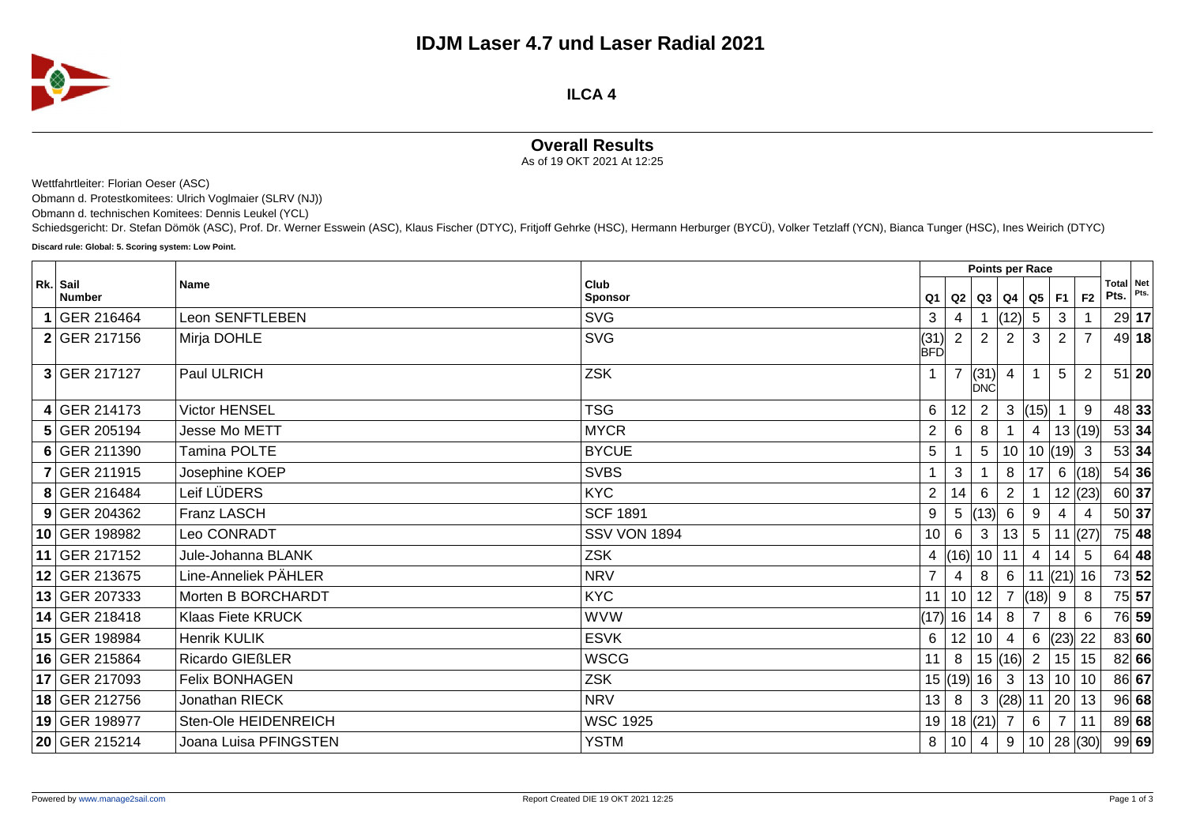

**ILCA 4**

## **Overall Results**

As of 19 OKT 2021 At 12:25

Wettfahrtleiter: Florian Oeser (ASC)

Obmann d. Protestkomitees: Ulrich Voglmaier (SLRV (NJ))

Obmann d. technischen Komitees: Dennis Leukel (YCL)

Schiedsgericht: Dr. Stefan Dömök (ASC), Prof. Dr. Werner Esswein (ASC), Klaus Fischer (DTYC), Fritjoff Gehrke (HSC), Hermann Herburger (BYCÜ), Volker Tetzlaff (YCN), Bianca Tunger (HSC), Ines Weirich (DTYC)

**Discard rule: Global: 5. Scoring system: Low Point.**

|                           |                        |                        | Points per Race    |                 |                |                        |                |                          |                |                   |         |
|---------------------------|------------------------|------------------------|--------------------|-----------------|----------------|------------------------|----------------|--------------------------|----------------|-------------------|---------|
| Rk. Sail<br><b>Number</b> | <b>Name</b>            | Club<br><b>Sponsor</b> | Q1                 |                 |                | Q2   Q3   Q4   Q5   F1 |                |                          | F <sub>2</sub> | Total Net<br>Pts. | Pts.    |
| 1 GER 216464              | Leon SENFTLEBEN        | <b>SVG</b>             | 3                  | 4               | $\mathbf 1$    | (12)                   | 5              | 3                        |                |                   | 29 17   |
| 2 GER 217156              | Mirja DOHLE            | <b>SVG</b>             | (31)<br><b>BFD</b> | 2 <sup>1</sup>  | $\overline{2}$ | 2                      | 3              | $\overline{2}$           | $\overline{7}$ |                   | 49 18   |
| $3$ GER 217127            | Paul ULRICH            | <b>ZSK</b>             |                    |                 | (31)<br>DNC    |                        |                | 5                        | 2              | 51                | 20      |
| 4 GER 214173              | <b>Victor HENSEL</b>   | <b>TSG</b>             | 6                  | 12              | $\overline{2}$ | 3                      | (15)           |                          | 9              |                   | 48 33   |
| 5 GER 205194              | Jesse Mo METT          | <b>MYCR</b>            | $\overline{2}$     | 6               | 8              |                        | 4              |                          | 13   (19)      |                   | 53 34   |
| 6 GER 211390              | Tamina POLTE           | <b>BYCUE</b>           | 5                  |                 | 5              | 10                     |                | 10  (19)  3              |                |                   | 53 34   |
| 7 GER 211915              | Josephine KOEP         | <b>SVBS</b>            |                    | 3               |                | 8                      | 17             | $6\overline{6}$          | (18)           |                   | 54 36   |
| 8 GER 216484              | Leif LÜDERS            | <b>KYC</b>             | $\overline{2}$     | 14              | 6              | 2                      |                |                          | 12  (23)       |                   | 60 37   |
| $9$ GER 204362            | Franz LASCH            | <b>SCF 1891</b>        | 9                  | 5               | (13)           | 6                      | 9              | 4                        |                |                   | 50 37   |
| 10 GER 198982             | Leo CONRADT            | <b>SSV VON 1894</b>    | 10                 | 6 <sup>1</sup>  | $\mathbf{3}$   | 13                     | 5 <sup>5</sup> | 11                       | (27)           |                   | $75$ 48 |
| 11 GER 217152             | Jule-Johanna BLANK     | <b>ZSK</b>             | 4                  |                 | (16) 10        | 11                     | 4              | 14                       | 5              |                   | 64   48 |
| 12 GER 213675             | Line-Anneliek PÄHLER   | <b>NRV</b>             | $\overline{7}$     | 4               | 8              | 6                      |                | $\left  (21) \right  16$ |                |                   | 73 52   |
| 13 GER 207333             | Morten B BORCHARDT     | <b>KYC</b>             | 11                 | 10 <sup>1</sup> | 12             |                        | (18)           | 9                        | 8              |                   | 75 57   |
| 14 GER 218418             | Klaas Fiete KRUCK      | <b>WVW</b>             | (17)  16   14      |                 |                | 8                      |                | 8                        | 6              |                   | 76 59   |
| 15 GER 198984             | Henrik KULIK           | <b>ESVK</b>            | 6                  | 12              | 10             |                        | 6              | $(23)$ 22                |                |                   | 83 60   |
| 16 GER 215864             | <b>Ricardo GIEßLER</b> | WSCG                   | 11                 | 8               |                | 15(16)                 | $\overline{2}$ | 15                       | 15             |                   | 82 66   |
| 17 GER 217093             | <b>Felix BONHAGEN</b>  | <b>ZSK</b>             |                    |                 | 15  (19)  16   | $\mathbf{3}$           |                | 13 10 10                 |                |                   | 86 67   |
| 18 GER 212756             | Jonathan RIECK         | <b>NRV</b>             | 13                 | 8 <sup>1</sup>  | $\mathbf{3}$   | (28)                   |                | 11   20                  | 13             |                   | 96 68   |
| 19 GER 198977             | Sten-Ole HEIDENREICH   | <b>WSC 1925</b>        | 19                 |                 | 18  (21)       |                        | 6              | $\overline{7}$           | 11             |                   | 89 68   |
| 20 GER 215214             | Joana Luisa PFINGSTEN  | <b>YSTM</b>            | 8                  | 10              | $\overline{4}$ | 9                      |                | 10 28 (30)               |                |                   | 99 69   |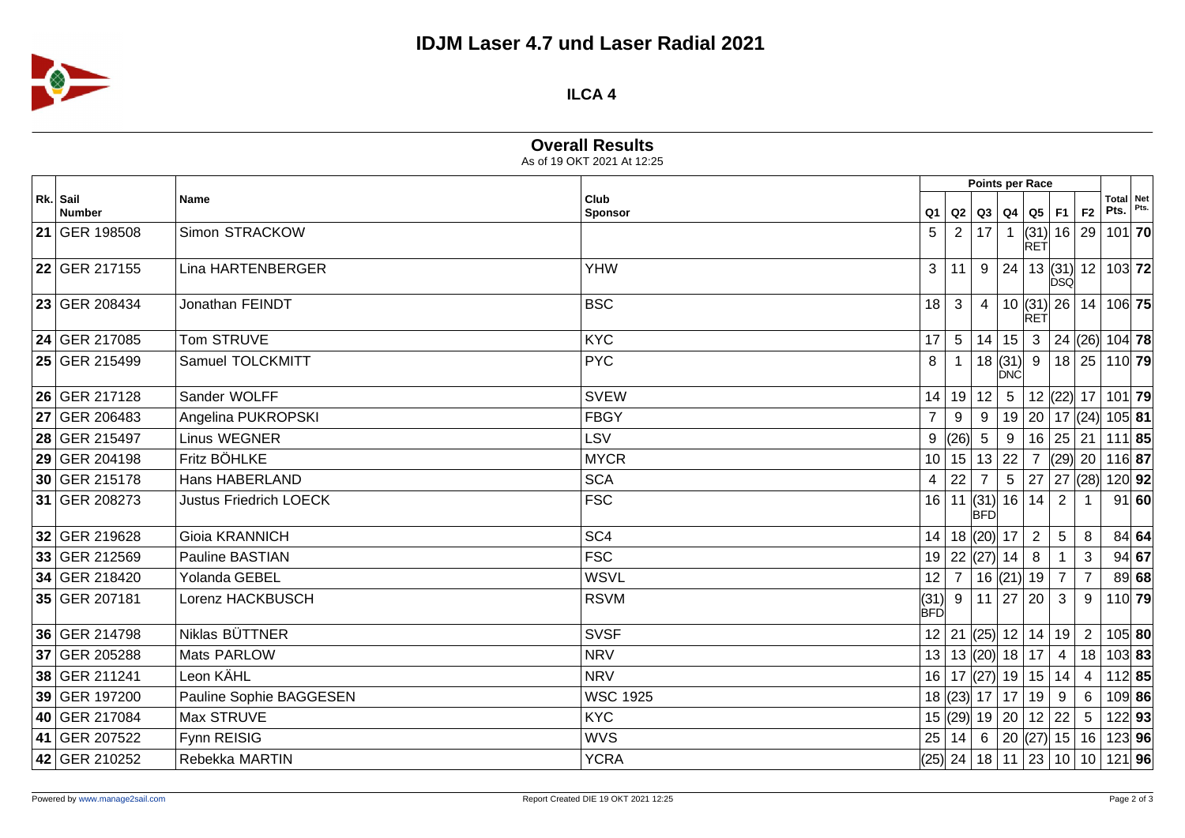## **IDJM Laser 4.7 und Laser Radial 2021**



## **ILCA 4**

**Overall Results**

| As of 19 OKT 2021 At 12:25 |                               |                 |                    |                 |                                           |                 |                |                |                 |                                                                |       |
|----------------------------|-------------------------------|-----------------|--------------------|-----------------|-------------------------------------------|-----------------|----------------|----------------|-----------------|----------------------------------------------------------------|-------|
| Rk. Sail<br><b>Number</b>  | Name                          | Club<br>Sponsor | Q1 I               |                 | Points per Race<br>Q2   Q3   Q4   Q5   F1 |                 |                |                | F <sub>2</sub>  | Total Net<br>Pts.                                              |       |
| 21 GER 198508              | Simon STRACKOW                |                 | 5                  |                 | 2 17                                      | $\overline{1}$  | <b>RET</b>     |                |                 | $(31)$ 16 29 101 70                                            |       |
| 22 GER 217155              | Lina HARTENBERGER             | <b>YHW</b>      | 3                  | 11 <sup>1</sup> |                                           |                 |                | <b>DSQ</b>     |                 | $9 \mid 24 \mid 13 \mid (31) \mid 12 \mid 103 \mid$ 72         |       |
| 23 GER 208434              | Jonathan FEINDT               | <b>BSC</b>      | 18                 | $\mathbf{3}$    | $\overline{4}$                            |                 | RET            |                |                 | $10$ (31) 26 14 106 75                                         |       |
| 24 GER 217085              | Tom STRUVE                    | <b>KYC</b>      | 17                 | 5 <sup>1</sup>  |                                           | 14 15           |                |                |                 | 3   24   26   104   78                                         |       |
| 25 GER 215499              | Samuel TOLCKMITT              | <b>PYC</b>      | 8                  |                 |                                           | ÍĎNĆ            |                |                |                 | $18$ (31) 9 18 25 110 79                                       |       |
| 26 GER 217128              | Sander WOLFF                  | <b>SVEW</b>     | 14                 |                 | 19 12                                     | $5\phantom{.0}$ |                |                |                 | 12 (22)  17   101  <b>79</b>                                   |       |
| 27 GER 206483              | Angelina PUKROPSKI            | <b>FBGY</b>     | $\overline{7}$     | 9               | 9                                         |                 |                |                |                 | 19 20 17 (24) 105 81                                           |       |
| 28 GER 215497              | Linus WEGNER                  | LSV             | 9                  |                 | $\left  (26) \right $ 5                   | 9               |                |                |                 | 16 25 21 111 85                                                |       |
| 29 GER 204198              | Fritz BÖHLKE                  | <b>MYCR</b>     | 10 <sup>1</sup>    |                 | 15 13 22                                  |                 |                |                |                 | $7$ (29) 20 116 87                                             |       |
| 30 GER 215178              | Hans HABERLAND                | <b>SCA</b>      | 4                  |                 | $22 \mid 7$                               | $5\phantom{.0}$ |                | 27   27   (28) |                 | 120 92                                                         |       |
| 31 GER 208273              | <b>Justus Friedrich LOECK</b> | <b>FSC</b>      | 16                 |                 | 11 $(31)$ 16 14<br><b>BFD</b>             |                 |                | 2              |                 |                                                                | 91 60 |
| 32 GER 219628              | Gioia KRANNICH                | SC <sub>4</sub> | 14                 |                 | 18  (20)  17                              |                 | $\overline{2}$ | $\overline{5}$ | 8               |                                                                | 84 64 |
| 33 GER 212569              | Pauline BASTIAN               | <b>FSC</b>      |                    |                 | 19 22 (27) 14                             |                 | 8              |                | 3               |                                                                | 94 67 |
| 34 GER 218420              | Yolanda GEBEL                 | <b>WSVL</b>     | 12 <sub>2</sub>    |                 | 7   16   (21)   19                        |                 |                | $\overline{7}$ | $\overline{7}$  |                                                                | 89 68 |
| 35 GER 207181              | Lorenz HACKBUSCH              | <b>RSVM</b>     | (31)<br><b>BFD</b> |                 | 9 11 27                                   |                 | 20             | $\mathbf{3}$   | 9               | $110$ 79                                                       |       |
| 36 GER 214798              | Niklas BÜTTNER                | <b>SVSF</b>     |                    |                 | 12 21 (25) 12 14 19 2                     |                 |                |                |                 | $105$ 80                                                       |       |
| 37 GER 205288              | Mats PARLOW                   | <b>NRV</b>      |                    |                 | 13   13   (20)   18   17   4              |                 |                |                |                 | 18 103 83                                                      |       |
| 38 GER 211241              | Leon KÄHL                     | <b>NRV</b>      |                    |                 | 16 17 (27) 19 15 14                       |                 |                |                | $\overline{4}$  | $112$ 85                                                       |       |
| 39 GER 197200              | Pauline Sophie BAGGESEN       | <b>WSC 1925</b> |                    |                 | $18$ (23) $17$   $17$   $19$   9          |                 |                |                | 6               | 109 86                                                         |       |
| 40 GER 217084              | Max STRUVE                    | <b>KYC</b>      |                    |                 | 15 (29) 19 20 12 22                       |                 |                |                | $5\phantom{.0}$ | $122$ 93                                                       |       |
| 41 GER 207522              | Fynn REISIG                   | <b>WVS</b>      | 25                 |                 |                                           |                 |                |                |                 | $14 \mid 6 \mid 20 \mid (27) \mid 15 \mid 16 \mid 123 \mid 96$ |       |
| 42 GER 210252              | Rebekka MARTIN                | <b>YCRA</b>     |                    |                 |                                           |                 |                |                |                 | $(25)$ 24   18   11   23   10   10   121   96                  |       |